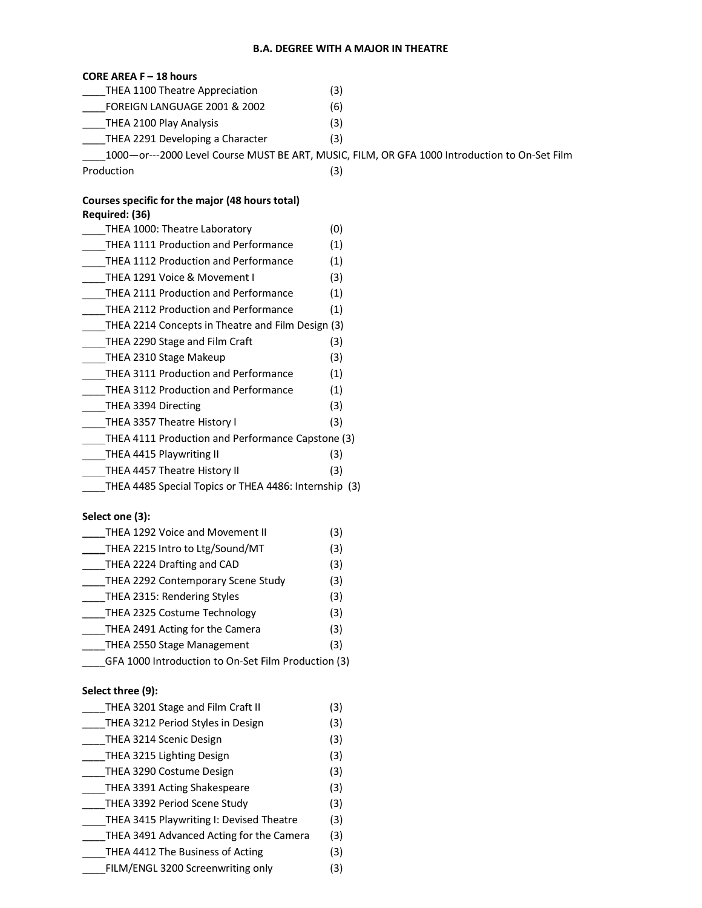#### **B.A. DEGREE WITH A MAJOR IN THEATRE**

### **CORE AREA F – 18 hours**

| THEA 1100 Theatre Appreciation   | (3)                                                                                           |
|----------------------------------|-----------------------------------------------------------------------------------------------|
| FOREIGN LANGUAGE 2001 & 2002     | (6)                                                                                           |
| THEA 2100 Play Analysis          | (3)                                                                                           |
| THEA 2291 Developing a Character | (3)                                                                                           |
|                                  | 1000-or---2000 Level Course MUST BE ART, MUSIC, FILM, OR GFA 1000 Introduction to On-Set Film |
| Production                       | (3)                                                                                           |

### **Courses specific for the major (48 hours total) Required: (36)**

| THEA 1000: Theatre Laboratory                         | (0) |
|-------------------------------------------------------|-----|
| <b>THEA 1111 Production and Performance</b>           | (1) |
| THEA 1112 Production and Performance                  | (1) |
| THEA 1291 Voice & Movement I                          | (3) |
| <b>THEA 2111 Production and Performance</b>           | (1) |
| THEA 2112 Production and Performance                  | (1) |
| THEA 2214 Concepts in Theatre and Film Design (3)     |     |
| THEA 2290 Stage and Film Craft                        | (3) |
| THEA 2310 Stage Makeup                                | (3) |
| THEA 3111 Production and Performance                  | (1) |
| <b>THEA 3112 Production and Performance</b>           | (1) |
| THEA 3394 Directing                                   | (3) |
| THEA 3357 Theatre History I                           | (3) |
| THEA 4111 Production and Performance Capstone (3)     |     |
| THEA 4415 Playwriting II                              | (3) |
| THEA 4457 Theatre History II                          | (3) |
| THEA 4485 Special Topics or THEA 4486: Internship (3) |     |

# **Select one (3):**

| THEA 1292 Voice and Movement II                     | (3) |  |
|-----------------------------------------------------|-----|--|
| THEA 2215 Intro to Ltg/Sound/MT                     | (3) |  |
| THEA 2224 Drafting and CAD                          | (3) |  |
| THEA 2292 Contemporary Scene Study                  | (3) |  |
| THEA 2315: Rendering Styles                         | (3) |  |
| THEA 2325 Costume Technology                        | (3) |  |
| THEA 2491 Acting for the Camera                     | (3) |  |
| THEA 2550 Stage Management                          | (3) |  |
| GFA 1000 Introduction to On-Set Film Production (3) |     |  |

# **Select three (9):**

| THEA 3201 Stage and Film Craft II        | (3) |
|------------------------------------------|-----|
| THEA 3212 Period Styles in Design        | (3) |
| THEA 3214 Scenic Design                  | (3) |
| THEA 3215 Lighting Design                | (3) |
| THEA 3290 Costume Design                 | (3) |
| THEA 3391 Acting Shakespeare             | (3) |
| THEA 3392 Period Scene Study             | (3) |
| THEA 3415 Playwriting I: Devised Theatre | (3) |
| THEA 3491 Advanced Acting for the Camera | (3) |
| THEA 4412 The Business of Acting         | (3) |
| FILM/ENGL 3200 Screenwriting only        | (3) |